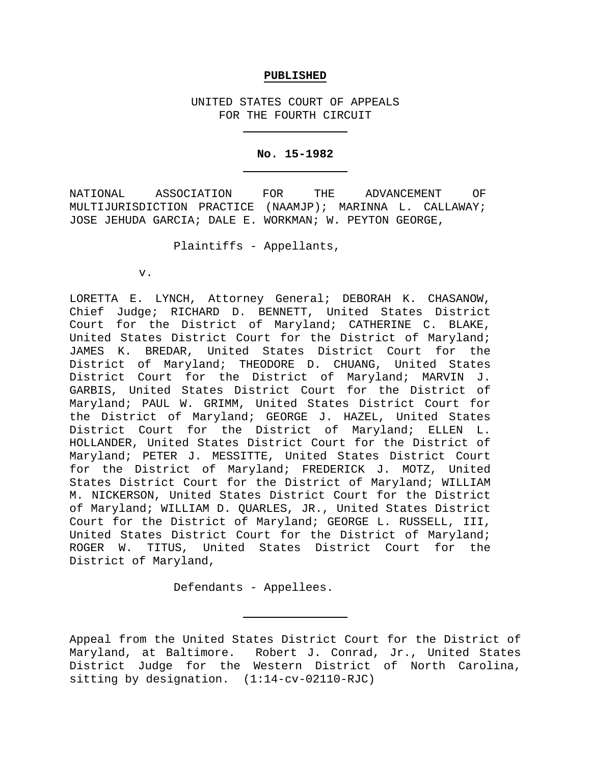### **PUBLISHED**

UNITED STATES COURT OF APPEALS FOR THE FOURTH CIRCUIT

#### **No. 15-1982**

NATIONAL ASSOCIATION FOR THE ADVANCEMENT OF MULTIJURISDICTION PRACTICE (NAAMJP); MARINNA L. CALLAWAY; JOSE JEHUDA GARCIA; DALE E. WORKMAN; W. PEYTON GEORGE,

Plaintiffs - Appellants,

v.

LORETTA E. LYNCH, Attorney General; DEBORAH K. CHASANOW, Chief Judge; RICHARD D. BENNETT, United States District Court for the District of Maryland; CATHERINE C. BLAKE, United States District Court for the District of Maryland; JAMES K. BREDAR, United States District Court for the District of Maryland; THEODORE D. CHUANG, United States District Court for the District of Maryland; MARVIN J. GARBIS, United States District Court for the District of Maryland; PAUL W. GRIMM, United States District Court for the District of Maryland; GEORGE J. HAZEL, United States District Court for the District of Maryland; ELLEN L. HOLLANDER, United States District Court for the District of Maryland; PETER J. MESSITTE, United States District Court for the District of Maryland; FREDERICK J. MOTZ, United States District Court for the District of Maryland; WILLIAM M. NICKERSON, United States District Court for the District of Maryland; WILLIAM D. QUARLES, JR., United States District Court for the District of Maryland; GEORGE L. RUSSELL, III, United States District Court for the District of Maryland; ROGER W. TITUS, United States District Court for the District of Maryland,

Defendants - Appellees.

Appeal from the United States District Court for the District of Maryland, at Baltimore. Robert J. Conrad, Jr., United States District Judge for the Western District of North Carolina, sitting by designation. (1:14-cv-02110-RJC)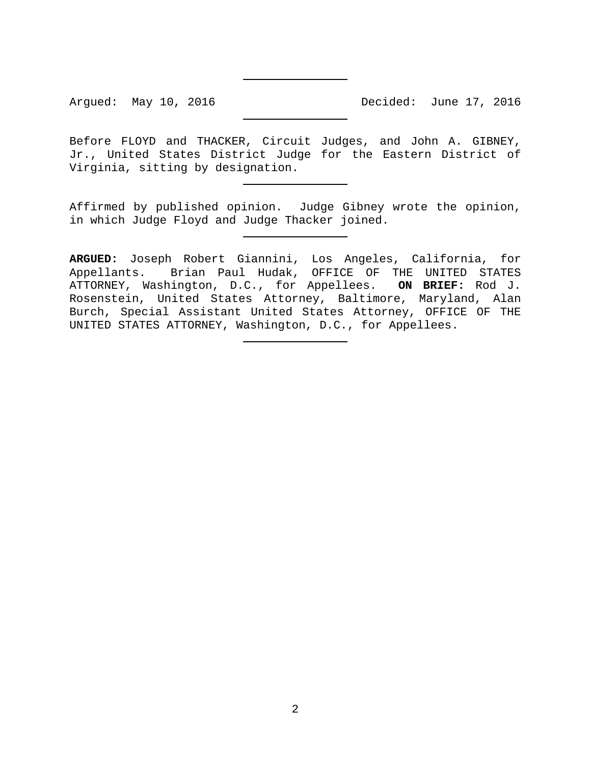Argued: May 10, 2016 **Decided:** June 17, 2016

Before FLOYD and THACKER, Circuit Judges, and John A. GIBNEY, Jr., United States District Judge for the Eastern District of Virginia, sitting by designation.

Affirmed by published opinion. Judge Gibney wrote the opinion, in which Judge Floyd and Judge Thacker joined.

**ARGUED:** Joseph Robert Giannini, Los Angeles, California, for Appellants. Brian Paul Hudak, OFFICE OF THE UNITED STATES ATTORNEY, Washington, D.C., for Appellees. **ON BRIEF:** Rod J. Rosenstein, United States Attorney, Baltimore, Maryland, Alan Burch, Special Assistant United States Attorney, OFFICE OF THE UNITED STATES ATTORNEY, Washington, D.C., for Appellees.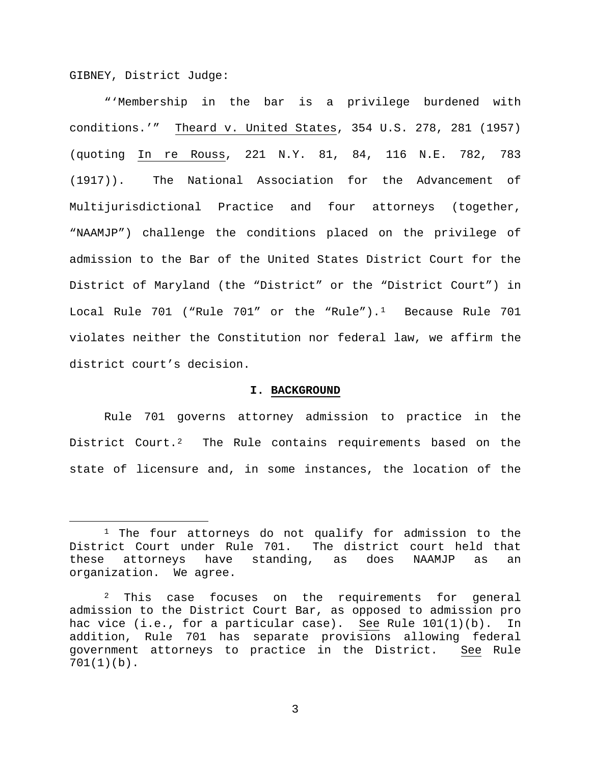GIBNEY, District Judge:

"'Membership in the bar is a privilege burdened with conditions.'" Theard v. United States, 354 U.S. 278, 281 (1957) (quoting In re Rouss, 221 N.Y. 81, 84, 116 N.E. 782, 783 (1917)). The National Association for the Advancement of Multijurisdictional Practice and four attorneys (together, "NAAMJP") challenge the conditions placed on the privilege of admission to the Bar of the United States District Court for the District of Maryland (the "District" or the "District Court") in Local Rule 70[1](#page-2-0) ("Rule 701" or the "Rule").<sup>1</sup> Because Rule 701 violates neither the Constitution nor federal law, we affirm the district court's decision.

#### **I. BACKGROUND**

Rule 701 governs attorney admission to practice in the District Court.<sup>2</sup> The Rule contains requirements based on the state of licensure and, in some instances, the location of the

<span id="page-2-0"></span><sup>&</sup>lt;sup>1</sup> The four attorneys do not qualify for admission to the District Court under Rule 701. The district court held that these attorneys have standing, as does NAAMJP as an organization. We agree.

<span id="page-2-1"></span> $2$  This case focuses on the requirements for general admission to the District Court Bar, as opposed to admission pro hac vice (i.e., for a particular case). See Rule 101(1)(b). In addition, Rule 701 has separate provisions allowing federal government attorneys to practice in the District. See Rule 701(1)(b).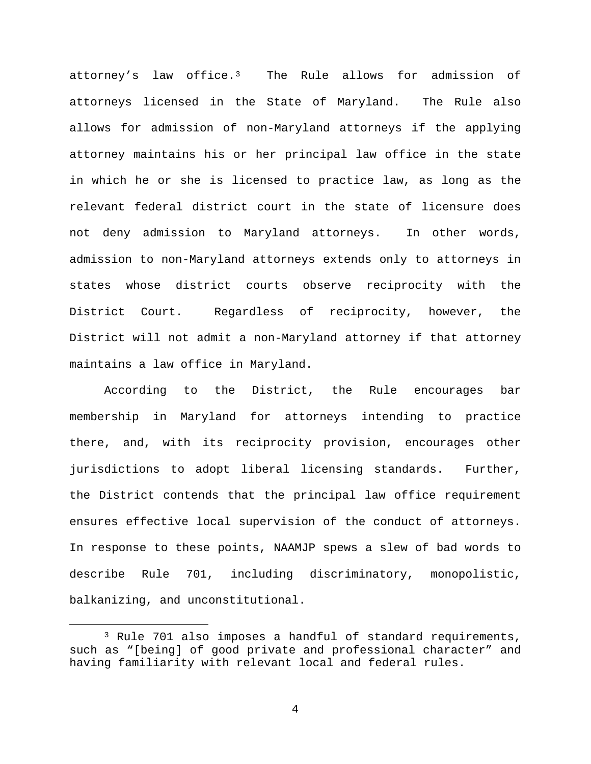attorney's law office.[3](#page-3-0) The Rule allows for admission of attorneys licensed in the State of Maryland. The Rule also allows for admission of non-Maryland attorneys if the applying attorney maintains his or her principal law office in the state in which he or she is licensed to practice law, as long as the relevant federal district court in the state of licensure does not deny admission to Maryland attorneys. In other words, admission to non-Maryland attorneys extends only to attorneys in states whose district courts observe reciprocity with the District Court. Regardless of reciprocity, however, the District will not admit a non-Maryland attorney if that attorney maintains a law office in Maryland.

According to the District, the Rule encourages bar membership in Maryland for attorneys intending to practice there, and, with its reciprocity provision, encourages other jurisdictions to adopt liberal licensing standards. Further, the District contends that the principal law office requirement ensures effective local supervision of the conduct of attorneys. In response to these points, NAAMJP spews a slew of bad words to describe Rule 701, including discriminatory, monopolistic, balkanizing, and unconstitutional.

<span id="page-3-0"></span> <sup>3</sup> Rule 701 also imposes a handful of standard requirements, such as "[being] of good private and professional character" and having familiarity with relevant local and federal rules.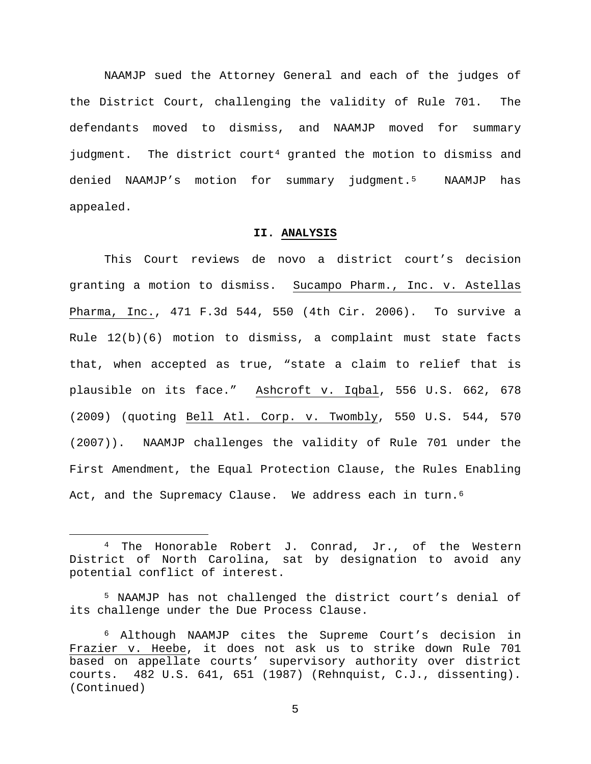NAAMJP sued the Attorney General and each of the judges of the District Court, challenging the validity of Rule 701. The defendants moved to dismiss, and NAAMJP moved for summary judgment. The district court<sup>[4](#page-4-0)</sup> granted the motion to dismiss and denied NAAMJP's motion for summary judgment[.5](#page-4-1) NAAMJP has appealed.

## **II. ANALYSIS**

This Court reviews de novo a district court's decision granting a motion to dismiss. Sucampo Pharm., Inc. v. Astellas Pharma, Inc., 471 F.3d 544, 550 (4th Cir. 2006). To survive a Rule  $12(b)(6)$  motion to dismiss, a complaint must state facts that, when accepted as true, "state a claim to relief that is plausible on its face." Ashcroft v. Iqbal, 556 U.S. 662, 678 (2009) (quoting Bell Atl. Corp. v. Twombly, 550 U.S. 544, 570 (2007)). NAAMJP challenges the validity of Rule 701 under the First Amendment, the Equal Protection Clause, the Rules Enabling Act, and the Supremacy Clause. We address each in turn.<sup>[6](#page-4-2)</sup>

<span id="page-4-0"></span> <sup>4</sup> The Honorable Robert J. Conrad, Jr., of the Western District of North Carolina, sat by designation to avoid any potential conflict of interest.

<span id="page-4-1"></span><sup>5</sup> NAAMJP has not challenged the district court's denial of its challenge under the Due Process Clause.

<span id="page-4-2"></span><sup>6</sup> Although NAAMJP cites the Supreme Court's decision in Frazier v. Heebe, it does not ask us to strike down Rule 701 based on appellate courts' supervisory authority over district courts. 482 U.S. 641, 651 (1987) (Rehnquist, C.J., dissenting). (Continued)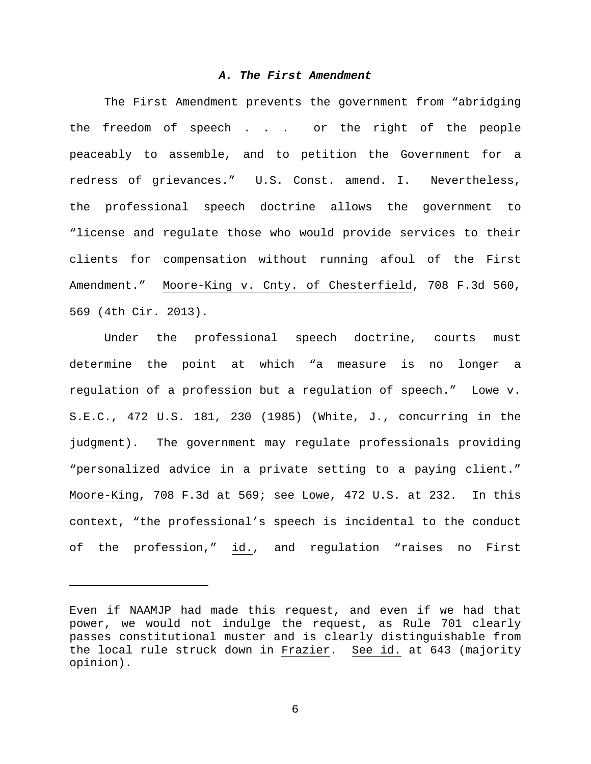## *A. The First Amendment*

The First Amendment prevents the government from "abridging the freedom of speech . . . or the right of the people peaceably to assemble, and to petition the Government for a redress of grievances." U.S. Const. amend. I. Nevertheless, the professional speech doctrine allows the government to "license and regulate those who would provide services to their clients for compensation without running afoul of the First Amendment." Moore-King v. Cnty. of Chesterfield, 708 F.3d 560, 569 (4th Cir. 2013).

Under the professional speech doctrine, courts must determine the point at which "a measure is no longer a regulation of a profession but a regulation of speech." Lowe v. S.E.C., 472 U.S. 181, 230 (1985) (White, J., concurring in the judgment). The government may regulate professionals providing "personalized advice in a private setting to a paying client." Moore-King, 708 F.3d at 569; see Lowe, 472 U.S. at 232. In this context, "the professional's speech is incidental to the conduct of the profession," id., and regulation "raises no First

Ĩ.

Even if NAAMJP had made this request, and even if we had that power, we would not indulge the request, as Rule 701 clearly passes constitutional muster and is clearly distinguishable from the local rule struck down in Frazier. See id. at 643 (majority opinion).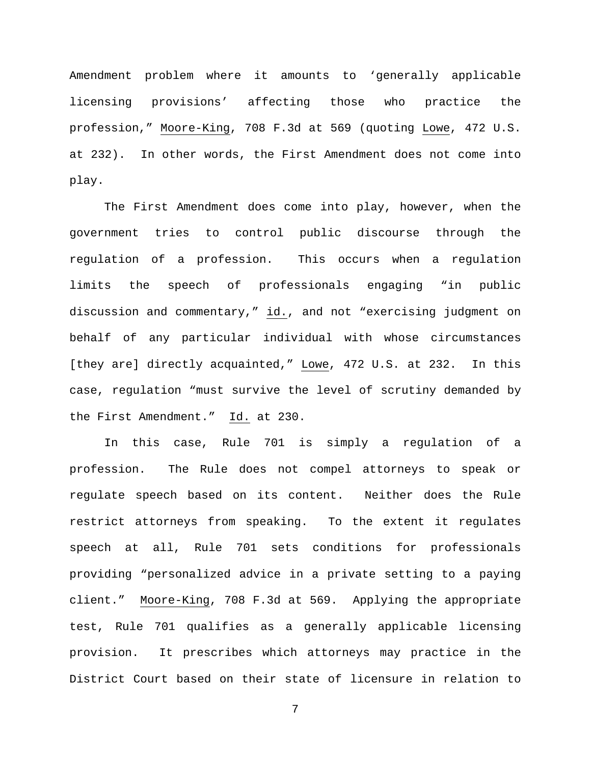Amendment problem where it amounts to 'generally applicable licensing provisions' affecting those who practice the profession," Moore-King, 708 F.3d at 569 (quoting Lowe, 472 U.S. at 232). In other words, the First Amendment does not come into play.

The First Amendment does come into play, however, when the government tries to control public discourse through the regulation of a profession. This occurs when a regulation limits the speech of professionals engaging "in public discussion and commentary," id., and not "exercising judgment on behalf of any particular individual with whose circumstances [they are] directly acquainted," Lowe, 472 U.S. at 232. In this case, regulation "must survive the level of scrutiny demanded by the First Amendment." Id. at 230.

In this case, Rule 701 is simply a regulation of a profession. The Rule does not compel attorneys to speak or regulate speech based on its content. Neither does the Rule restrict attorneys from speaking. To the extent it regulates speech at all, Rule 701 sets conditions for professionals providing "personalized advice in a private setting to a paying client." Moore-King, 708 F.3d at 569. Applying the appropriate test, Rule 701 qualifies as a generally applicable licensing provision. It prescribes which attorneys may practice in the District Court based on their state of licensure in relation to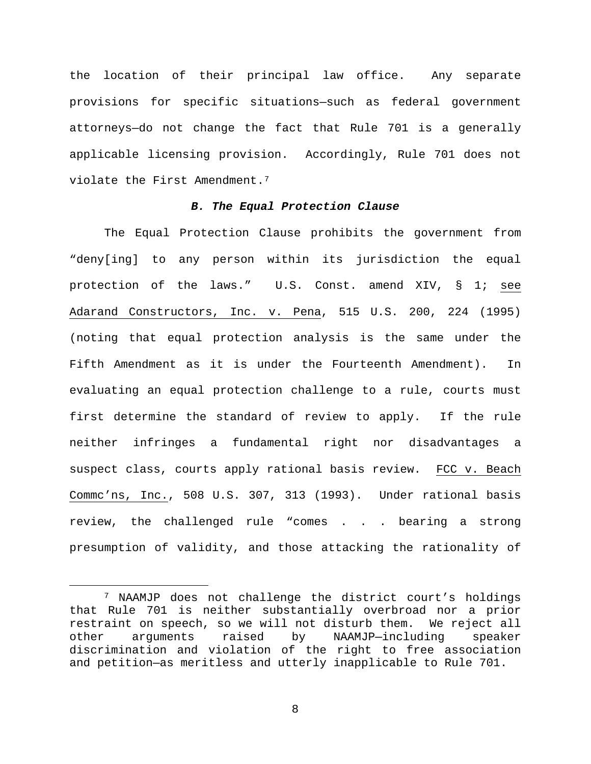the location of their principal law office. Any separate provisions for specific situations—such as federal government attorneys—do not change the fact that Rule 701 is a generally applicable licensing provision. Accordingly, Rule 701 does not violate the First Amendment.<sup>7</sup>

# *B. The Equal Protection Clause*

The Equal Protection Clause prohibits the government from "deny[ing] to any person within its jurisdiction the equal protection of the laws." U.S. Const. amend XIV, § 1; see Adarand Constructors, Inc. v. Pena, 515 U.S. 200, 224 (1995) (noting that equal protection analysis is the same under the Fifth Amendment as it is under the Fourteenth Amendment). In evaluating an equal protection challenge to a rule, courts must first determine the standard of review to apply. If the rule neither infringes a fundamental right nor disadvantages a suspect class, courts apply rational basis review. FCC v. Beach Commc'ns, Inc., 508 U.S. 307, 313 (1993). Under rational basis review, the challenged rule "comes . . . bearing a strong presumption of validity, and those attacking the rationality of

<span id="page-7-0"></span> <sup>7</sup> NAAMJP does not challenge the district court's holdings that Rule 701 is neither substantially overbroad nor a prior restraint on speech, so we will not disturb them. We reject all<br>other arguments raised by NAAMJP-including speaker other arguments raised by NAAMJP—including speaker discrimination and violation of the right to free association and petition—as meritless and utterly inapplicable to Rule 701.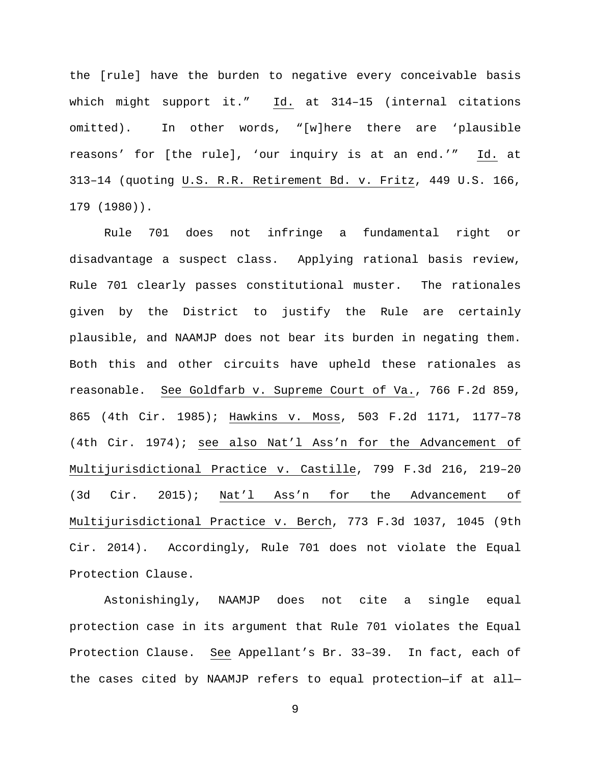the [rule] have the burden to negative every conceivable basis which might support it." Id. at 314–15 (internal citations omitted). In other words, "[w]here there are 'plausible reasons' for [the rule], 'our inquiry is at an end.'" Id. at 313–14 (quoting U.S. R.R. Retirement Bd. v. Fritz, 449 U.S. 166, 179 (1980)).

Rule 701 does not infringe a fundamental right or disadvantage a suspect class. Applying rational basis review, Rule 701 clearly passes constitutional muster. The rationales given by the District to justify the Rule are certainly plausible, and NAAMJP does not bear its burden in negating them. Both this and other circuits have upheld these rationales as reasonable. See Goldfarb v. Supreme Court of Va., 766 F.2d 859, 865 (4th Cir. 1985); Hawkins v. Moss, 503 F.2d 1171, 1177–78 (4th Cir. 1974); see also Nat'l Ass'n for the Advancement of Multijurisdictional Practice v. Castille, 799 F.3d 216, 219–20 (3d Cir. 2015); Nat'l Ass'n for the Advancement of Multijurisdictional Practice v. Berch, 773 F.3d 1037, 1045 (9th Cir. 2014). Accordingly, Rule 701 does not violate the Equal Protection Clause.

Astonishingly, NAAMJP does not cite a single equal protection case in its argument that Rule 701 violates the Equal Protection Clause. See Appellant's Br. 33–39. In fact, each of the cases cited by NAAMJP refers to equal protection—if at all—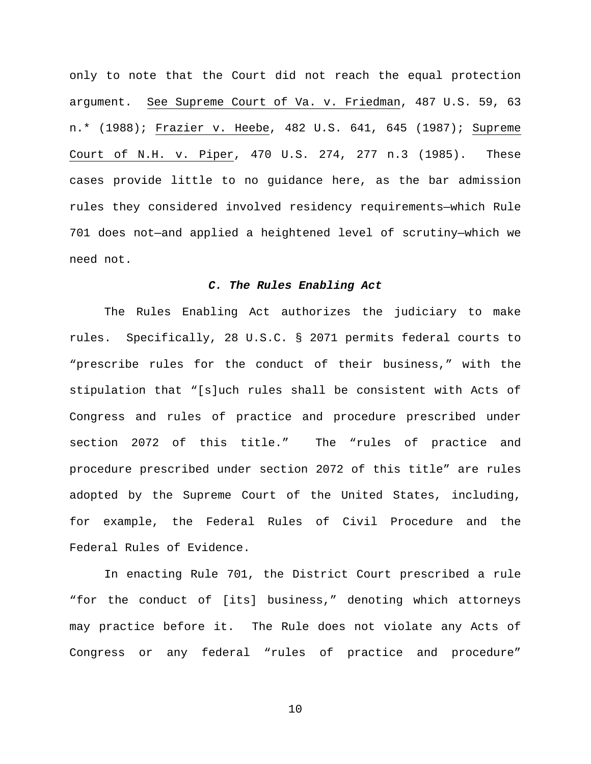only to note that the Court did not reach the equal protection argument. See Supreme Court of Va. v. Friedman, 487 U.S. 59, 63 n.\* (1988); Frazier v. Heebe, 482 U.S. 641, 645 (1987); Supreme Court of N.H. v. Piper, 470 U.S. 274, 277 n.3 (1985). These cases provide little to no guidance here, as the bar admission rules they considered involved residency requirements—which Rule 701 does not—and applied a heightened level of scrutiny—which we need not.

## *C. The Rules Enabling Act*

The Rules Enabling Act authorizes the judiciary to make rules. Specifically, 28 U.S.C. § 2071 permits federal courts to "prescribe rules for the conduct of their business," with the stipulation that "[s]uch rules shall be consistent with Acts of Congress and rules of practice and procedure prescribed under section 2072 of this title." The "rules of practice and procedure prescribed under section 2072 of this title" are rules adopted by the Supreme Court of the United States, including, for example, the Federal Rules of Civil Procedure and the Federal Rules of Evidence.

In enacting Rule 701, the District Court prescribed a rule "for the conduct of [its] business," denoting which attorneys may practice before it. The Rule does not violate any Acts of Congress or any federal "rules of practice and procedure"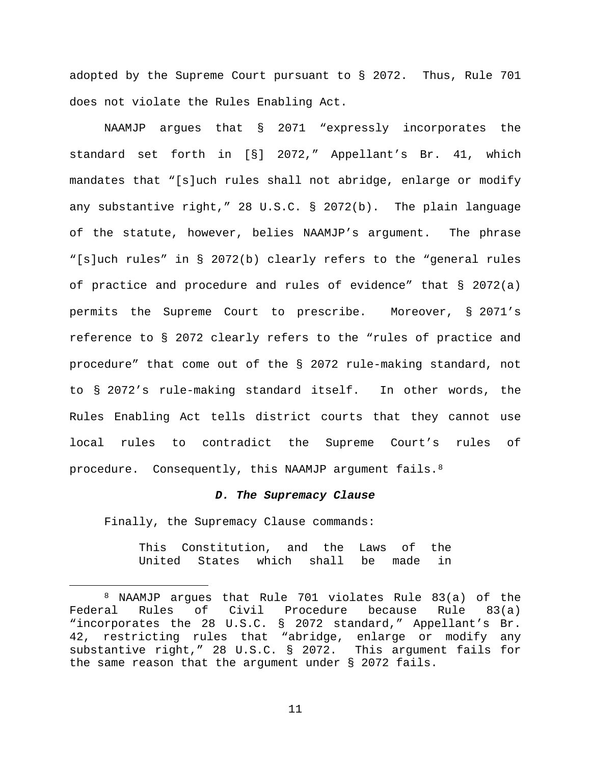adopted by the Supreme Court pursuant to § 2072. Thus, Rule 701 does not violate the Rules Enabling Act.

NAAMJP argues that § 2071 "expressly incorporates the standard set forth in [§] 2072," Appellant's Br. 41, which mandates that "[s]uch rules shall not abridge, enlarge or modify any substantive right," 28 U.S.C. § 2072(b). The plain language of the statute, however, belies NAAMJP's argument. The phrase "[s]uch rules" in § 2072(b) clearly refers to the "general rules of practice and procedure and rules of evidence" that § 2072(a) permits the Supreme Court to prescribe. Moreover, § 2071's reference to § 2072 clearly refers to the "rules of practice and procedure" that come out of the § 2072 rule-making standard, not to § 2072's rule-making standard itself. In other words, the Rules Enabling Act tells district courts that they cannot use local rules to contradict the Supreme Court's rules of procedure. Consequently, this NAAMJP argument fails.[8](#page-10-0) 

### *D. The Supremacy Clause*

Finally, the Supremacy Clause commands:

This Constitution, and the Laws of the<br>United States which shall be made in United States which shall be made in

<span id="page-10-0"></span> <sup>8</sup> NAAMJP argues that Rule 701 violates Rule 83(a) of the Federal Rules of Civil Procedure because Rule 83(a) "incorporates the 28 U.S.C. § 2072 standard," Appellant's Br. 42, restricting rules that "abridge, enlarge or modify any substantive right," 28 U.S.C. § 2072. This argument fails for the same reason that the argument under § 2072 fails.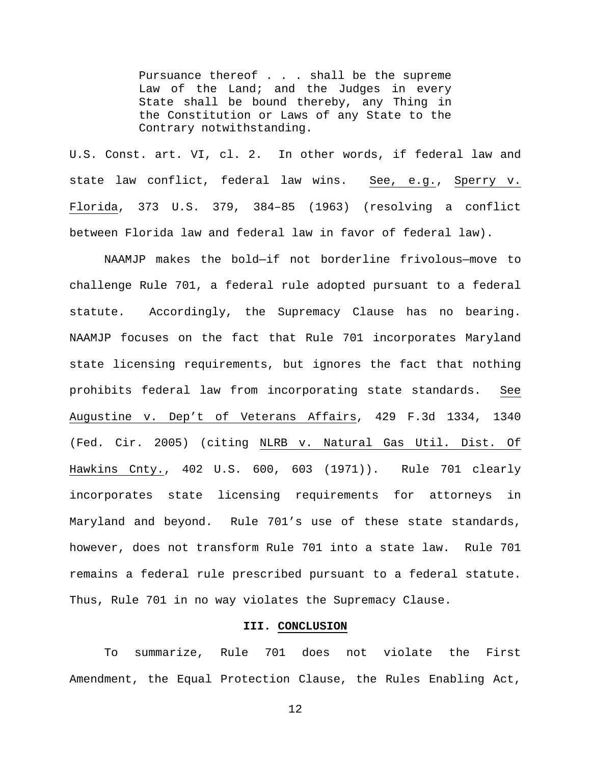Pursuance thereof . . . shall be the supreme Law of the Land; and the Judges in every State shall be bound thereby, any Thing in the Constitution or Laws of any State to the Contrary notwithstanding.

U.S. Const. art. VI, cl. 2. In other words, if federal law and state law conflict, federal law wins. See, e.g., Sperry v. Florida, 373 U.S. 379, 384–85 (1963) (resolving a conflict between Florida law and federal law in favor of federal law).

NAAMJP makes the bold—if not borderline frivolous—move to challenge Rule 701, a federal rule adopted pursuant to a federal statute. Accordingly, the Supremacy Clause has no bearing. NAAMJP focuses on the fact that Rule 701 incorporates Maryland state licensing requirements, but ignores the fact that nothing prohibits federal law from incorporating state standards. See Augustine v. Dep't of Veterans Affairs, 429 F.3d 1334, 1340 (Fed. Cir. 2005) (citing NLRB v. Natural Gas Util. Dist. Of Hawkins Cnty., 402 U.S. 600, 603 (1971)). Rule 701 clearly incorporates state licensing requirements for attorneys in Maryland and beyond. Rule 701's use of these state standards, however, does not transform Rule 701 into a state law. Rule 701 remains a federal rule prescribed pursuant to a federal statute. Thus, Rule 701 in no way violates the Supremacy Clause.

## **III. CONCLUSION**

To summarize, Rule 701 does not violate the First Amendment, the Equal Protection Clause, the Rules Enabling Act,